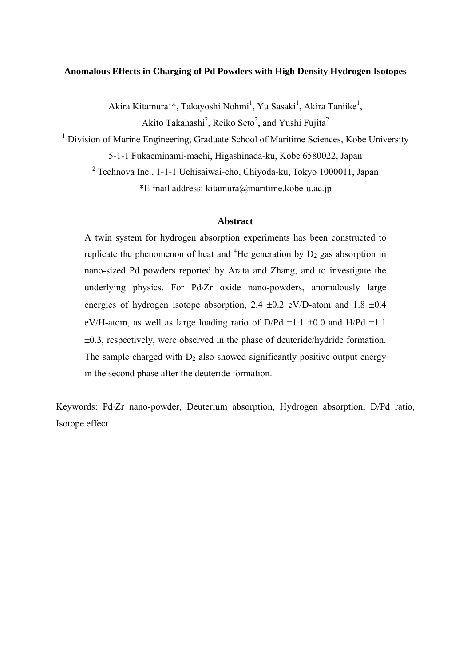# **Anomalous Effects in Charging of Pd Powders with High Density Hydrogen Isotopes**

Akira Kitamura<sup>1</sup>\*, Takayoshi Nohmi<sup>1</sup>, Yu Sasaki<sup>1</sup>, Akira Taniike<sup>1</sup>,

Akito Takahashi<sup>2</sup>, Reiko Seto<sup>2</sup>, and Yushi Fujita<sup>2</sup>

<sup>1</sup> Division of Marine Engineering, Graduate School of Maritime Sciences, Kobe University

5-1-1 Fukaeminami-machi, Higashinada-ku, Kobe 6580022, Japan

<sup>2</sup> Technova Inc., 1-1-1 Uchisaiwai-cho, Chiyoda-ku, Tokyo 1000011, Japan \*E-mail address: kitamura@maritime.kobe-u.ac.jp

# **Abstract**

A twin system for hydrogen absorption experiments has been constructed to replicate the phenomenon of heat and <sup>4</sup>He generation by  $D_2$  gas absorption in nano-sized Pd powders reported by Arata and Zhang, and to investigate the underlying physics. For Pd-Zr oxide nano-powders, anomalously large energies of hydrogen isotope absorption, 2.4  $\pm$ 0.2 eV/D-atom and 1.8  $\pm$ 0.4 eV/H-atom, as well as large loading ratio of  $D/Pd = 1.1 \pm 0.0$  and  $H/Pd = 1.1$ 0.3, respectively, were observed in the phase of deuteride/hydride formation. The sample charged with  $D_2$  also showed significantly positive output energy in the second phase after the deuteride formation.

Keywords: Pd-Zr nano-powder, Deuterium absorption, Hydrogen absorption, D/Pd ratio, Isotope effect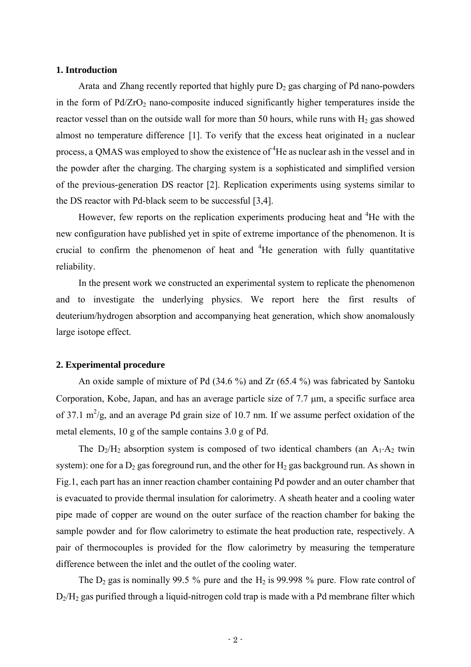#### **1. Introduction**

Arata and Zhang recently reported that highly pure  $D_2$  gas charging of Pd nano-powders in the form of  $Pd/ZrO<sub>2</sub>$  nano-composite induced significantly higher temperatures inside the reactor vessel than on the outside wall for more than 50 hours, while runs with  $H_2$  gas showed almost no temperature difference [1]. To verify that the excess heat originated in a nuclear process, a QMAS was employed to show the existence of  ${}^{4}$ He as nuclear ash in the vessel and in the powder after the charging. The charging system is a sophisticated and simplified version of the previous-generation DS reactor [2]. Replication experiments using systems similar to the DS reactor with Pd-black seem to be successful [3,4].

However, few reports on the replication experiments producing heat and <sup>4</sup>He with the new configuration have published yet in spite of extreme importance of the phenomenon. It is crucial to confirm the phenomenon of heat and  ${}^{4}$ He generation with fully quantitative reliability.

In the present work we constructed an experimental system to replicate the phenomenon and to investigate the underlying physics. We report here the first results of deuterium/hydrogen absorption and accompanying heat generation, which show anomalously large isotope effect.

# **2. Experimental procedure**

An oxide sample of mixture of Pd (34.6 %) and Zr (65.4 %) was fabricated by Santoku Corporation, Kobe, Japan, and has an average particle size of  $7.7 \mu m$ , a specific surface area of 37.1  $\text{m}^2/\text{g}$ , and an average Pd grain size of 10.7 nm. If we assume perfect oxidation of the metal elements, 10 g of the sample contains 3.0 g of Pd.

The  $D_2/H_2$  absorption system is composed of two identical chambers (an  $A_1 \cdot A_2$  twin system): one for a  $D_2$  gas foreground run, and the other for  $H_2$  gas background run. As shown in Fig.1, each part has an inner reaction chamber containing Pd powder and an outer chamber that is evacuated to provide thermal insulation for calorimetry. A sheath heater and a cooling water pipe made of copper are wound on the outer surface of the reaction chamber for baking the sample powder and for flow calorimetry to estimate the heat production rate, respectively. A pair of thermocouples is provided for the flow calorimetry by measuring the temperature difference between the inlet and the outlet of the cooling water.

The  $D_2$  gas is nominally 99.5 % pure and the  $H_2$  is 99.998 % pure. Flow rate control of  $D_2/H_2$  gas purified through a liquid-nitrogen cold trap is made with a Pd membrane filter which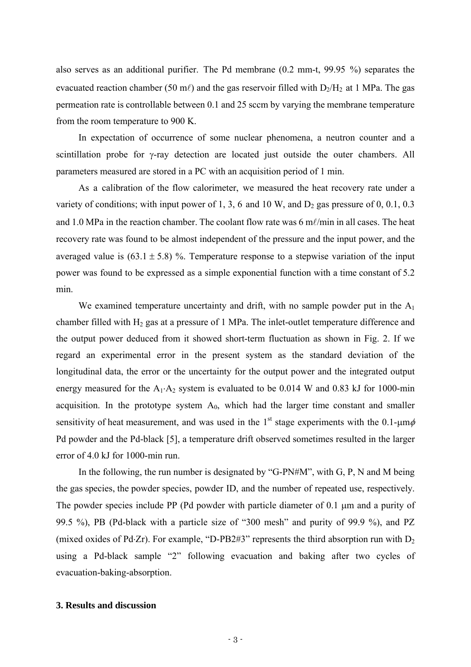also serves as an additional purifier. The Pd membrane (0.2 mm-t, 99.95 %) separates the evacuated reaction chamber (50 m $\ell$ ) and the gas reservoir filled with  $D_2/H_2$  at 1 MPa. The gas permeation rate is controllable between 0.1 and 25 sccm by varying the membrane temperature from the room temperature to 900 K.

In expectation of occurrence of some nuclear phenomena, a neutron counter and a scintillation probe for  $\gamma$ -ray detection are located just outside the outer chambers. All parameters measured are stored in a PC with an acquisition period of 1 min.

As a calibration of the flow calorimeter, we measured the heat recovery rate under a variety of conditions; with input power of 1, 3, 6 and 10 W, and  $D_2$  gas pressure of 0, 0.1, 0.3 and 1.0 MPa in the reaction chamber. The coolant flow rate was  $6 \text{ m} \ell / \text{min}$  in all cases. The heat recovery rate was found to be almost independent of the pressure and the input power, and the averaged value is  $(63.1 \pm 5.8)$  %. Temperature response to a stepwise variation of the input power was found to be expressed as a simple exponential function with a time constant of 5.2 min.

We examined temperature uncertainty and drift, with no sample powder put in the  $A_1$ chamber filled with  $H_2$  gas at a pressure of 1 MPa. The inlet-outlet temperature difference and the output power deduced from it showed short-term fluctuation as shown in Fig. 2. If we regard an experimental error in the present system as the standard deviation of the longitudinal data, the error or the uncertainty for the output power and the integrated output energy measured for the  $A_1 \cdot A_2$  system is evaluated to be 0.014 W and 0.83 kJ for 1000-min acquisition. In the prototype system  $A_0$ , which had the larger time constant and smaller sensitivity of heat measurement, and was used in the 1<sup>st</sup> stage experiments with the 0.1- $\mu$ m $\phi$ Pd powder and the Pd-black [5], a temperature drift observed sometimes resulted in the larger error of 4.0 kJ for 1000-min run.

In the following, the run number is designated by "G-PN#M", with  $G, P, N$  and M being the gas species, the powder species, powder ID, and the number of repeated use, respectively. The powder species include PP (Pd powder with particle diameter of  $0.1 \mu m$  and a purity of 99.5 %), PB (Pd-black with a particle size of "300 mesh" and purity of 99.9 %), and PZ (mixed oxides of Pd $\cdot$ Zr). For example, "D-PB2#3" represents the third absorption run with  $D_2$ using a Pd-black sample "2" following evacuation and baking after two cycles of evacuation-baking-absorption.

# **3. Results and discussion**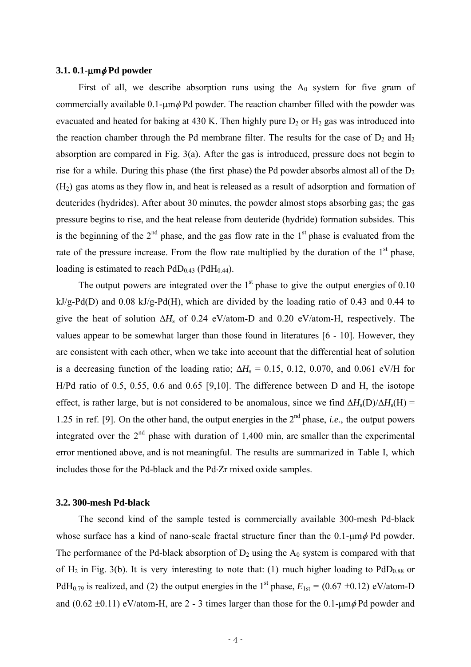# **3.1. 0.1-m Pd powder**

First of all, we describe absorption runs using the  $A_0$  system for five gram of commercially available 0.1- $\mu$ m  $\phi$  Pd powder. The reaction chamber filled with the powder was evacuated and heated for baking at 430 K. Then highly pure  $D_2$  or  $H_2$  gas was introduced into the reaction chamber through the Pd membrane filter. The results for the case of  $D_2$  and  $H_2$ absorption are compared in Fig. 3(a). After the gas is introduced, pressure does not begin to rise for a while. During this phase (the first phase) the Pd powder absorbs almost all of the  $D<sub>2</sub>$ (H2) gas atoms as they flow in, and heat is released as a result of adsorption and formation of deuterides (hydrides). After about 30 minutes, the powder almost stops absorbing gas; the gas pressure begins to rise, and the heat release from deuteride (hydride) formation subsides. This is the beginning of the  $2<sup>nd</sup>$  phase, and the gas flow rate in the  $1<sup>st</sup>$  phase is evaluated from the rate of the pressure increase. From the flow rate multiplied by the duration of the  $1<sup>st</sup>$  phase, loading is estimated to reach  $PdD_{0.43}$  ( $PdH_{0.44}$ ).

The output powers are integrated over the  $1<sup>st</sup>$  phase to give the output energies of 0.10 kJ/g-Pd(D) and 0.08 kJ/g-Pd(H), which are divided by the loading ratio of 0.43 and 0.44 to give the heat of solution  $\Delta H_s$  of 0.24 eV/atom-D and 0.20 eV/atom-H, respectively. The values appear to be somewhat larger than those found in literatures [6 - 10]. However, they are consistent with each other, when we take into account that the differential heat of solution is a decreasing function of the loading ratio;  $\Delta H_s = 0.15$ , 0.12, 0.070, and 0.061 eV/H for H/Pd ratio of 0.5, 0.55, 0.6 and 0.65 [9,10]. The difference between D and H, the isotope effect, is rather large, but is not considered to be anomalous, since we find  $\Delta H_s(D)/\Delta H_s(H)$  = 1.25 in ref. [9]. On the other hand, the output energies in the 2nd phase, *i.e.*, the output powers integrated over the  $2<sup>nd</sup>$  phase with duration of 1,400 min, are smaller than the experimental error mentioned above, and is not meaningful. The results are summarized in Table I, which includes those for the Pd-black and the Pd-Zr mixed oxide samples.

#### **3.2. 300-mesh Pd-black**

The second kind of the sample tested is commercially available 300-mesh Pd-black whose surface has a kind of nano-scale fractal structure finer than the  $0.1$ - $\mu$ m $\phi$  Pd powder. The performance of the Pd-black absorption of  $D_2$  using the  $A_0$  system is compared with that of  $H_2$  in Fig. 3(b). It is very interesting to note that: (1) much higher loading to  $PdD_{0.88}$  or PdH<sub>0.79</sub> is realized, and (2) the output energies in the 1<sup>st</sup> phase,  $E_{1st} = (0.67 \pm 0.12)$  eV/atom-D and  $(0.62 \pm 0.11)$  eV/atom-H, are 2 - 3 times larger than those for the 0.1-um  $\phi$  Pd powder and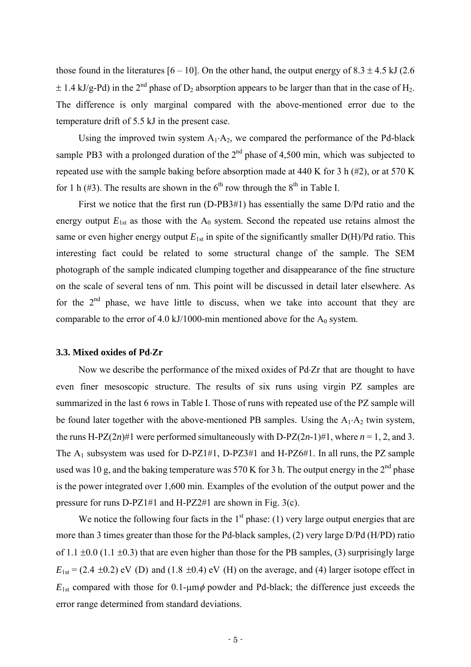those found in the literatures [6 – 10]. On the other hand, the output energy of  $8.3 \pm 4.5$  kJ (2.6)  $\pm$  1.4 kJ/g-Pd) in the 2<sup>nd</sup> phase of D<sub>2</sub> absorption appears to be larger than that in the case of H<sub>2</sub>. The difference is only marginal compared with the above-mentioned error due to the temperature drift of 5.5 kJ in the present case.

Using the improved twin system  $A_1 \cdot A_2$ , we compared the performance of the Pd-black sample PB3 with a prolonged duration of the  $2<sup>nd</sup>$  phase of 4,500 min, which was subjected to repeated use with the sample baking before absorption made at 440 K for 3 h  $(\#2)$ , or at 570 K for 1 h (#3). The results are shown in the  $6<sup>th</sup>$  row through the  $8<sup>th</sup>$  in Table I.

First we notice that the first run (D-PB3#1) has essentially the same D/Pd ratio and the energy output  $E_{1st}$  as those with the  $A_0$  system. Second the repeated use retains almost the same or even higher energy output  $E_{1st}$  in spite of the significantly smaller  $D(H)/Pd$  ratio. This interesting fact could be related to some structural change of the sample. The SEM photograph of the sample indicated clumping together and disappearance of the fine structure on the scale of several tens of nm. This point will be discussed in detail later elsewhere. As for the  $2<sup>nd</sup>$  phase, we have little to discuss, when we take into account that they are comparable to the error of 4.0 kJ/1000-min mentioned above for the  $A_0$  system.

# **3.3. Mixed oxides of PdZr**

Now we describe the performance of the mixed oxides of Pd-Zr that are thought to have even finer mesoscopic structure. The results of six runs using virgin PZ samples are summarized in the last 6 rows in Table I. Those of runs with repeated use of the PZ sample will be found later together with the above-mentioned PB samples. Using the  $A_1 \cdot A_2$  twin system, the runs H-PZ(2*n*)#1 were performed simultaneously with D-PZ(2*n*-1)#1, where  $n = 1, 2$ , and 3. The  $A_1$  subsystem was used for D-PZ1#1, D-PZ3#1 and H-PZ6#1. In all runs, the PZ sample used was 10 g, and the baking temperature was 570 K for 3 h. The output energy in the  $2<sup>nd</sup>$  phase is the power integrated over 1,600 min. Examples of the evolution of the output power and the pressure for runs D-PZ1#1 and H-PZ2#1 are shown in Fig. 3(c).

We notice the following four facts in the  $1<sup>st</sup>$  phase: (1) very large output energies that are more than 3 times greater than those for the Pd-black samples, (2) very large D/Pd (H/PD) ratio of 1.1  $\pm$ 0.0 (1.1  $\pm$ 0.3) that are even higher than those for the PB samples, (3) surprisingly large  $E_{1st} = (2.4 \pm 0.2)$  eV (D) and (1.8  $\pm 0.4$ ) eV (H) on the average, and (4) larger isotope effect in  $E_{1st}$  compared with those for 0.1- $\mu$ m $\phi$  powder and Pd-black; the difference just exceeds the error range determined from standard deviations.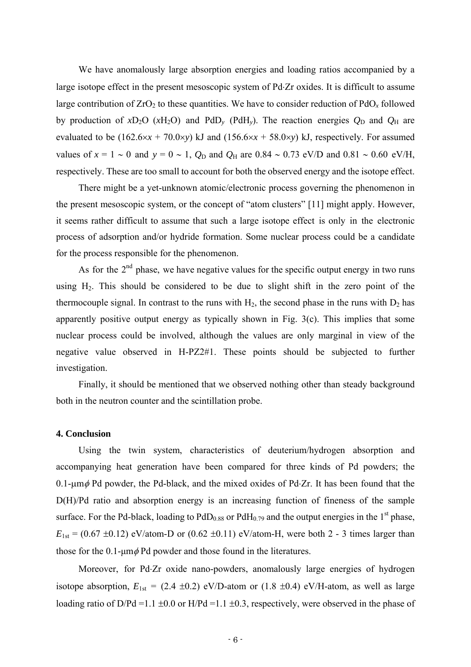We have anomalously large absorption energies and loading ratios accompanied by a large isotope effect in the present mesoscopic system of Pd. Zr oxides. It is difficult to assume large contribution of  $ZrO<sub>2</sub>$  to these quantities. We have to consider reduction of  $PdO<sub>x</sub>$  followed by production of  $xD_2O$  ( $xH_2O$ ) and  $PdD_y$  ( $PdH_y$ ). The reaction energies  $Q_D$  and  $Q_H$  are evaluated to be  $(162.6 \times x + 70.0 \times y)$  kJ and  $(156.6 \times x + 58.0 \times y)$  kJ, respectively. For assumed values of  $x = 1 \sim 0$  and  $y = 0 \sim 1$ ,  $Q_D$  and  $Q_H$  are 0.84  $\sim$  0.73 eV/D and 0.81  $\sim$  0.60 eV/H, respectively. These are too small to account for both the observed energy and the isotope effect.

There might be a yet-unknown atomic/electronic process governing the phenomenon in the present mesoscopic system, or the concept of "atom clusters" [11] might apply. However, it seems rather difficult to assume that such a large isotope effect is only in the electronic process of adsorption and/or hydride formation. Some nuclear process could be a candidate for the process responsible for the phenomenon.

As for the  $2<sup>nd</sup>$  phase, we have negative values for the specific output energy in two runs using  $H_2$ . This should be considered to be due to slight shift in the zero point of the thermocouple signal. In contrast to the runs with  $H_2$ , the second phase in the runs with  $D_2$  has apparently positive output energy as typically shown in Fig. 3(c). This implies that some nuclear process could be involved, although the values are only marginal in view of the negative value observed in H-PZ2#1. These points should be subjected to further investigation.

Finally, it should be mentioned that we observed nothing other than steady background both in the neutron counter and the scintillation probe.

#### **4. Conclusion**

Using the twin system, characteristics of deuterium/hydrogen absorption and accompanying heat generation have been compared for three kinds of Pd powders; the 0.1- $\mu$ m $\phi$  Pd powder, the Pd-black, and the mixed oxides of Pd-Zr. It has been found that the D(H)/Pd ratio and absorption energy is an increasing function of fineness of the sample surface. For the Pd-black, loading to  $PdD<sub>0.88</sub>$  or  $PdH<sub>0.79</sub>$  and the output energies in the 1<sup>st</sup> phase,  $E_{1st} = (0.67 \pm 0.12)$  eV/atom-D or  $(0.62 \pm 0.11)$  eV/atom-H, were both 2 - 3 times larger than those for the 0.1- $\mu$ m $\phi$  Pd powder and those found in the literatures.

Moreover, for Pd-Zr oxide nano-powders, anomalously large energies of hydrogen isotope absorption,  $E_{1st} = (2.4 \pm 0.2)$  eV/D-atom or  $(1.8 \pm 0.4)$  eV/H-atom, as well as large loading ratio of D/Pd =1.1  $\pm 0.0$  or H/Pd =1.1  $\pm 0.3$ , respectively, were observed in the phase of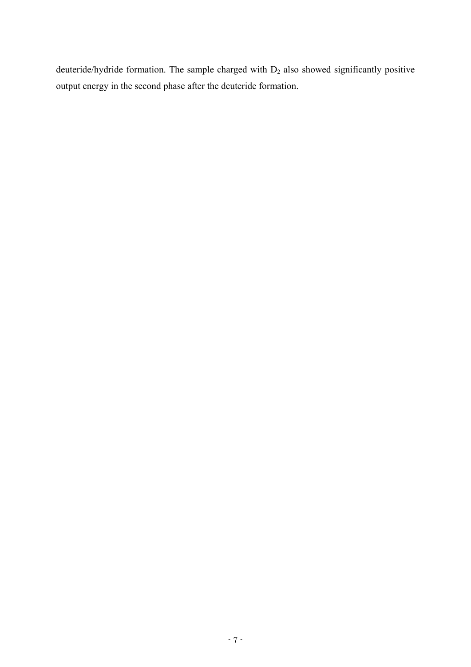deuteride/hydride formation. The sample charged with  $D_2$  also showed significantly positive output energy in the second phase after the deuteride formation.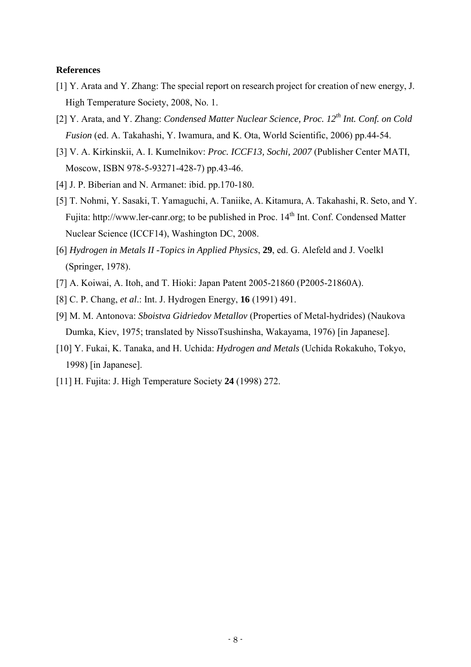# **References**

- [1] Y. Arata and Y. Zhang: The special report on research project for creation of new energy, J. High Temperature Society, 2008, No. 1.
- [2] Y. Arata, and Y. Zhang: *Condensed Matter Nuclear Science, Proc. 12th Int. Conf. on Cold Fusion* (ed. A. Takahashi, Y. Iwamura, and K. Ota, World Scientific, 2006) pp.44-54.
- [3] V. A. Kirkinskii, A. I. Kumelnikov: *Proc. ICCF13, Sochi, 2007* (Publisher Center MATI, Moscow, ISBN 978-5-93271-428-7) pp.43-46.
- [4] J. P. Biberian and N. Armanet: ibid. pp.170-180.
- [5] T. Nohmi, Y. Sasaki, T. Yamaguchi, A. Taniike, A. Kitamura, A. Takahashi, R. Seto, and Y. Fujita: http://www.ler-canr.org; to be published in Proc. 14<sup>th</sup> Int. Conf. Condensed Matter Nuclear Science (ICCF14), Washington DC, 2008.
- [6] *Hydrogen in Metals II -Topics in Applied Physics*, **29**, ed. G. Alefeld and J. Voelkl (Springer, 1978).
- [7] A. Koiwai, A. Itoh, and T. Hioki: Japan Patent 2005-21860 (P2005-21860A).
- [8] C. P. Chang, *et al*.: Int. J. Hydrogen Energy, **16** (1991) 491.
- [9] M. M. Antonova: *Sboistva Gidriedov Metallov* (Properties of Metal-hydrides) (Naukova Dumka, Kiev, 1975; translated by NissoTsushinsha, Wakayama, 1976) [in Japanese].
- [10] Y. Fukai, K. Tanaka, and H. Uchida: *Hydrogen and Metals* (Uchida Rokakuho, Tokyo, 1998) [in Japanese].
- [11] H. Fujita: J. High Temperature Society **24** (1998) 272.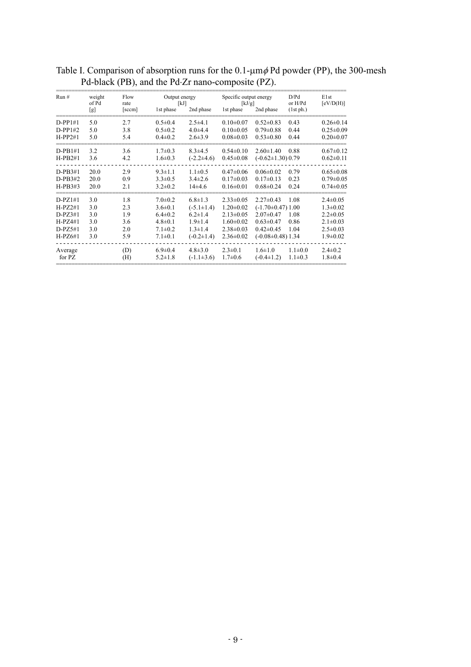| Run #     | weight<br>of Pd<br>[g] | Flow<br>rate<br>[sccm] | Output energy<br>[kJ] |                  | Specific output energy<br>[kJ/g] |                         | D/Pd<br>or H/Pd | Elst<br>[eV/D(H)] |
|-----------|------------------------|------------------------|-----------------------|------------------|----------------------------------|-------------------------|-----------------|-------------------|
|           |                        |                        | 1st phase             | 2nd phase        | 1st phase                        | 2nd phase               | (1st ph.)       |                   |
| $D-PP1#1$ | 5.0                    | 2.7                    | $0.5 \pm 0.4$         | $2.5 + 4.1$      | $0.10 \pm 0.07$                  | $0.52 \pm 0.83$         | 0.43            | $0.26 \pm 0.14$   |
| $D-PP1#2$ | 5.0                    | 3.8                    | $0.5 \pm 0.2$         | $4.0\pm4.4$      | $0.10 \pm 0.05$                  | $0.79 \pm 0.88$         | 0.44            | $0.25 \pm 0.09$   |
| $H-PP2#1$ | 5.0                    | 5.4                    | $0.4 \pm 0.2$         | $2.6 \pm 3.9$    | $0.08 \pm 0.03$                  | $0.53 \pm 0.80$         | 0.44            | $0.20 \pm 0.07$   |
| $D-PB1#1$ | 3.2                    | 3.6                    | $1.7 \pm 0.3$         | $8.3 \pm 4.5$    | $0.54 \pm 0.10$                  | $2.60 \pm 1.40$         | 0.88            | $0.67 \pm 0.12$   |
| $H-PB2#1$ | 3.6                    | 4.2                    | $1.6 \pm 0.3$         | $(-2.2 \pm 4.6)$ | $0.45 \pm 0.08$                  | $(-0.62 \pm 1.30) 0.79$ |                 | $0.62 \pm 0.11$   |
| $D-PB3#1$ | 20.0                   | 2.9                    | $9.3 \pm 1.1$         | $1.1 \pm 0.5$    | $0.47 \pm 0.06$                  | $0.06 \pm 0.02$         | 0.79            | $0.65 \pm 0.08$   |
| $D-PB3#2$ | 20.0                   | 0.9                    | $3.3 \pm 0.5$         | $3.4 \pm 2.6$    | $0.17 \pm 0.03$                  | $0.17 \pm 0.13$         | 0.23            | $0.79 \pm 0.05$   |
| $H-PB3#3$ | 20.0                   | 2.1                    | $3.2 \pm 0.2$         | $14\pm4.6$       | $0.16 \pm 0.01$                  | $0.68 \pm 0.24$         | 0.24            | $0.74 \pm 0.05$   |
| $D-PZ1#1$ | 3.0                    | 1.8                    | $7.0 \pm 0.2$         | $6.8 \pm 1.3$    | $2.33 \pm 0.05$                  | $2.27 \pm 0.43$         | 1.08            | $2.4 \pm 0.05$    |
| $H-PZ2#1$ | 3.0                    | 2.3                    | $3.6 \pm 0.1$         | $(-5.1 \pm 1.4)$ | $1.20 \pm 0.02$                  | $(-1.70 \pm 0.47)$ 1.00 |                 | $1.3 \pm 0.02$    |
| $D-PZ3#1$ | 3.0                    | 1.9                    | $6.4 \pm 0.2$         | $6.2 \pm 1.4$    | $2.13 \pm 0.05$                  | $2.07 \pm 0.47$         | 1.08            | $2.2 \pm 0.05$    |
| $H-PZ4#1$ | 3.0                    | 3.6                    | $4.8 \pm 0.1$         | $1.9 \pm 1.4$    | $1.60 \pm 0.02$                  | $0.63 \pm 0.47$         | 0.86            | $2.1 \pm 0.03$    |
| $D-PZ5#1$ | 3.0                    | 2.0                    | $7.1 \pm 0.2$         | $1.3 \pm 1.4$    | $2.38 \pm 0.03$                  | $0.42 \pm 0.45$         | 1.04            | $2.5 \pm 0.03$    |
| $H-PZ6#1$ | 3.0                    | 5.9                    | $7.1 \pm 0.1$         | $(-0.2 \pm 1.4)$ | $2.36 \pm 0.02$                  | $(-0.08 \pm 0.48)$ 1.34 |                 | $1.9 \pm 0.02$    |
| Average   |                        | (D)                    | $6.9 \pm 0.4$         | $4.8 \pm 3.0$    | $2.3 \pm 0.1$                    | $1.6 \pm 1.0$           | $1.1 \pm 0.0$   | $2.4 \pm 0.2$     |
| for PZ    |                        | (H)                    | $5.2 \pm 1.8$         | $(-1.1 \pm 3.6)$ | $1.7 \pm 0.6$                    | $(-0.4 \pm 1.2)$        | $1.1 \pm 0.3$   | $1.8 + 0.4$       |

Table I. Comparison of absorption runs for the  $0.1$ - $\mu$ m $\phi$  Pd powder (PP), the 300-mesh Pd-black (PB), and the Pd Zr nano-composite (PZ).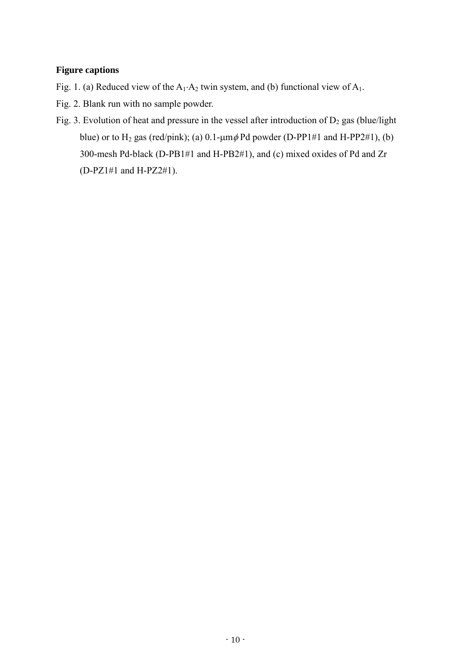# **Figure captions**

- Fig. 1. (a) Reduced view of the  $A_1 \cdot A_2$  twin system, and (b) functional view of  $A_1$ .
- Fig. 2. Blank run with no sample powder.
- Fig. 3. Evolution of heat and pressure in the vessel after introduction of  $D_2$  gas (blue/light blue) or to H<sub>2</sub> gas (red/pink); (a)  $0.1$ - $\mu$ m $\phi$  Pd powder (D-PP1#1 and H-PP2#1), (b) 300-mesh Pd-black (D-PB1#1 and H-PB2#1), and (c) mixed oxides of Pd and Zr (D-PZ1#1 and H-PZ2#1).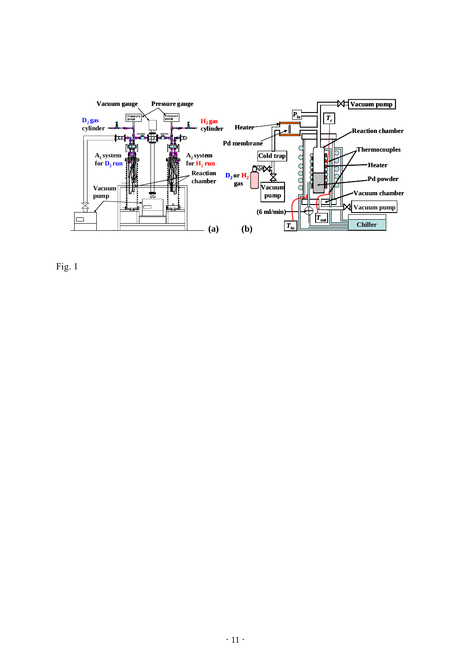

Fig. 1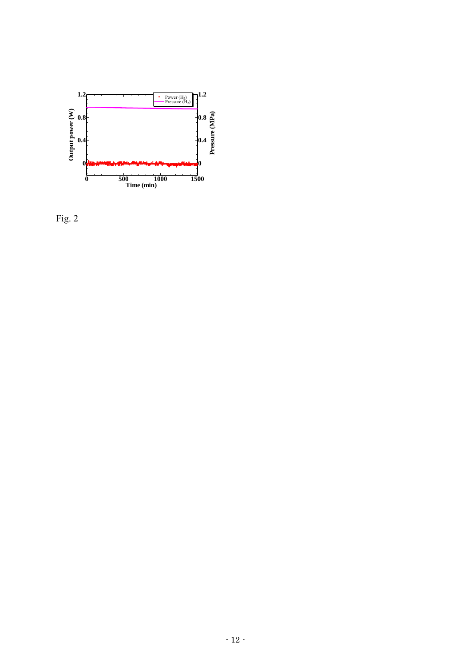

Fig. 2